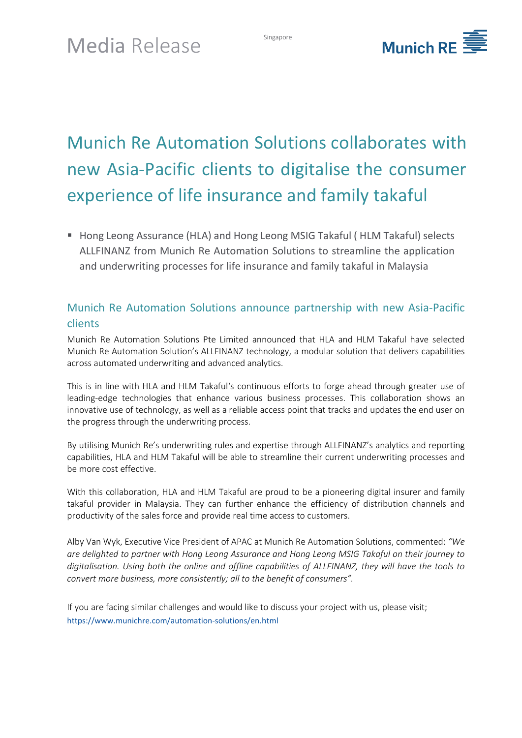

# Munich Re Automation Solutions collaborates with new Asia-Pacific clients to digitalise the consumer experience of life insurance and family takaful

■ Hong Leong Assurance (HLA) and Hong Leong MSIG Takaful ( HLM Takaful) selects ALLFINANZ from Munich Re Automation Solutions to streamline the application and underwriting processes for life insurance and family takaful in Malaysia

## Munich Re Automation Solutions announce partnership with new Asia-Pacific clients

Munich Re Automation Solutions Pte Limited announced that HLA and HLM Takaful have selected Munich Re Automation Solution's ALLFINANZ technology, a modular solution that delivers capabilities across automated underwriting and advanced analytics.

This is in line with HLA and HLM Takaful's continuous efforts to forge ahead through greater use of leading-edge technologies that enhance various business processes. This collaboration shows an innovative use of technology, as well as a reliable access point that tracks and updates the end user on the progress through the underwriting process.

By utilising Munich Re's underwriting rules and expertise through ALLFINANZ's analytics and reporting capabilities, HLA and HLM Takaful will be able to streamline their current underwriting processes and be more cost effective.

With this collaboration, HLA and HLM Takaful are proud to be a pioneering digital insurer and family takaful provider in Malaysia. They can further enhance the efficiency of distribution channels and productivity of the sales force and provide real time access to customers.

Alby Van Wyk, Executive Vice President of APAC at Munich Re Automation Solutions, commented: *"We are delighted to partner with Hong Leong Assurance and Hong Leong MSIG Takaful on their journey to digitalisation. Using both the online and offline capabilities of ALLFINANZ, they will have the tools to convert more business, more consistently; all to the benefit of consumers".*

If you are facing similar challenges and would like to discuss your project with us, please visit; <https://www.munichre.com/automation-solutions/en.html>